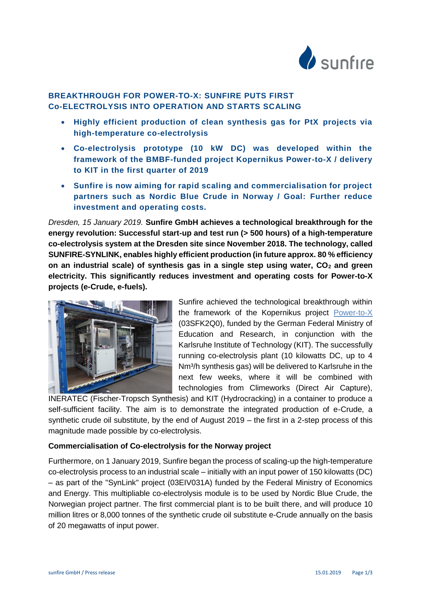

# **BREAKTHROUGH FOR POWER-TO-X: SUNFIRE PUTS FIRST Co-ELECTROLYSIS INTO OPERATION AND STARTS SCALING**

- **Highly efficient production of clean synthesis gas for PtX projects via high-temperature co-electrolysis**
- **Co-electrolysis prototype (10 kW DC) was developed within the framework of the BMBF-funded project Kopernikus Power-to-X / delivery to KIT in the first quarter of 2019**
- **Sunfire is now aiming for rapid scaling and commercialisation for project partners such as Nordic Blue Crude in Norway / Goal: Further reduce investment and operating costs.**

*Dresden, 15 January 2019.* **Sunfire GmbH achieves a technological breakthrough for the energy revolution: Successful start-up and test run (> 500 hours) of a high-temperature co-electrolysis system at the Dresden site since November 2018. The technology, called SUNFIRE-SYNLINK, enables highly efficient production (in future approx. 80 % efficiency on an industrial scale) of synthesis gas in a single step using water, CO<sup>2</sup> and green electricity. This significantly reduces investment and operating costs for Power-to-X projects (e-Crude, e-fuels).**



Sunfire achieved the technological breakthrough within the framework of the Kopernikus project [Power-to-X](https://www.kopernikus-projekte.de/projekte/power-to-x) (03SFK2Q0), funded by the German Federal Ministry of Education and Research, in conjunction with the Karlsruhe Institute of Technology (KIT). The successfully running co-electrolysis plant (10 kilowatts DC, up to 4 Nm<sup>3</sup>/h synthesis gas) will be delivered to Karlsruhe in the next few weeks, where it will be combined with technologies from Climeworks (Direct Air Capture),

INERATEC (Fischer-Tropsch Synthesis) and KIT (Hydrocracking) in a container to produce a self-sufficient facility. The aim is to demonstrate the integrated production of e-Crude, a synthetic crude oil substitute, by the end of August 2019 – the first in a 2-step process of this magnitude made possible by co-electrolysis.

## **Commercialisation of Co-electrolysis for the Norway project**

Furthermore, on 1 January 2019, Sunfire began the process of scaling-up the high-temperature co-electrolysis process to an industrial scale – initially with an input power of 150 kilowatts (DC) – as part of the "SynLink" project (03EIV031A) funded by the Federal Ministry of Economics and Energy. This multipliable co-electrolysis module is to be used by Nordic Blue Crude, the Norwegian project partner. The first commercial plant is to be built there, and will produce 10 million litres or 8,000 tonnes of the synthetic crude oil substitute e-Crude annually on the basis of 20 megawatts of input power.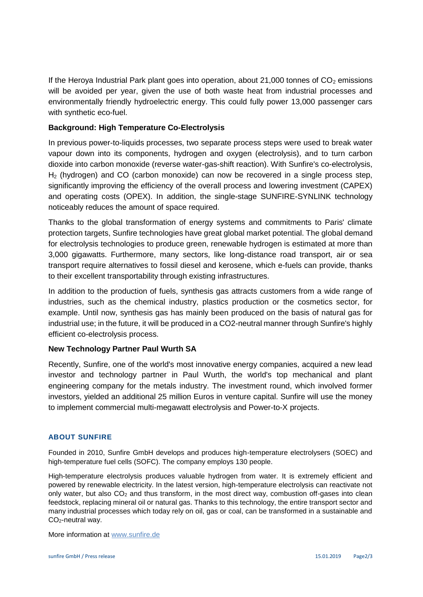If the Heroya Industrial Park plant goes into operation, about 21,000 tonnes of  $CO<sub>2</sub>$  emissions will be avoided per year, given the use of both waste heat from industrial processes and environmentally friendly hydroelectric energy. This could fully power 13,000 passenger cars with synthetic eco-fuel.

### **Background: High Temperature Co-Electrolysis**

In previous power-to-liquids processes, two separate process steps were used to break water vapour down into its components, hydrogen and oxygen (electrolysis), and to turn carbon dioxide into carbon monoxide (reverse water-gas-shift reaction). With Sunfire's co-electrolysis,  $H<sub>2</sub>$  (hydrogen) and CO (carbon monoxide) can now be recovered in a single process step, significantly improving the efficiency of the overall process and lowering investment (CAPEX) and operating costs (OPEX). In addition, the single-stage SUNFIRE-SYNLINK technology noticeably reduces the amount of space required.

Thanks to the global transformation of energy systems and commitments to Paris' climate protection targets, Sunfire technologies have great global market potential. The global demand for electrolysis technologies to produce green, renewable hydrogen is estimated at more than 3,000 gigawatts. Furthermore, many sectors, like long-distance road transport, air or sea transport require alternatives to fossil diesel and kerosene, which e-fuels can provide, thanks to their excellent transportability through existing infrastructures.

In addition to the production of fuels, synthesis gas attracts customers from a wide range of industries, such as the chemical industry, plastics production or the cosmetics sector, for example. Until now, synthesis gas has mainly been produced on the basis of natural gas for industrial use; in the future, it will be produced in a CO2-neutral manner through Sunfire's highly efficient co-electrolysis process.

#### **New Technology Partner Paul Wurth SA**

Recently, Sunfire, one of the world's most innovative energy companies, acquired a new lead investor and technology partner in Paul Wurth, the world's top mechanical and plant engineering company for the metals industry. The investment round, which involved former investors, yielded an additional 25 million Euros in venture capital. Sunfire will use the money to implement commercial multi-megawatt electrolysis and Power-to-X projects.

#### **ABOUT SUNFIRE**

Founded in 2010, Sunfire GmbH develops and produces high-temperature electrolysers (SOEC) and high-temperature fuel cells (SOFC). The company employs 130 people.

High-temperature electrolysis produces valuable hydrogen from water. It is extremely efficient and powered by renewable electricity. In the latest version, high-temperature electrolysis can reactivate not only water, but also  $CO<sub>2</sub>$  and thus transform, in the most direct way, combustion off-gases into clean feedstock, replacing mineral oil or natural gas. Thanks to this technology, the entire transport sector and many industrial processes which today rely on oil, gas or coal, can be transformed in a sustainable and CO2-neutral way.

More information at [www.sunfire.de](file:///C:/Users/ulbichtn/AppData/Local/Microsoft/Windows/INetCache/Content.Outlook/9AW8WZFR/www.sunfire.de)